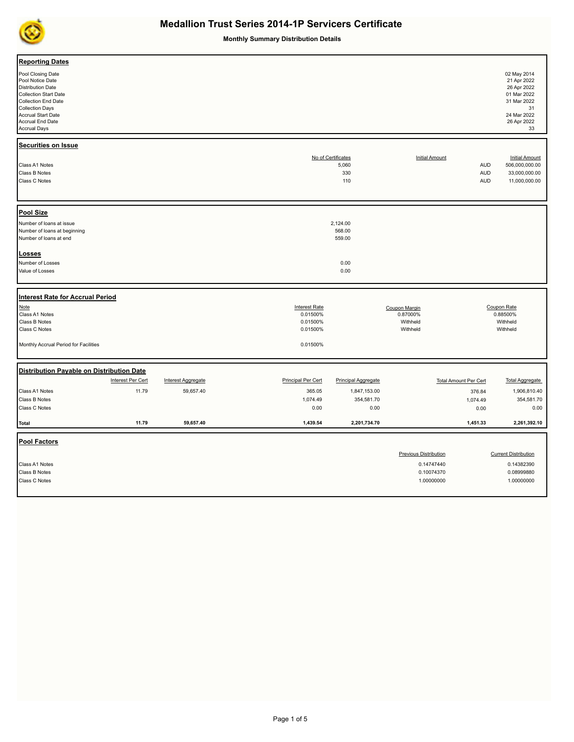

**Monthly Summary Distribution Details**

| <b>Reporting Dates</b><br>Pool Closing Date<br>Pool Notice Date<br><b>Distribution Date</b><br><b>Collection Start Date</b><br><b>Collection End Date</b><br><b>Collection Days</b><br>Accrual Start Date<br>Accrual End Date<br><b>Accrual Days</b> |                   |                           |                           |                            |                              |            | 02 May 2014<br>21 Apr 2022<br>26 Apr 2022<br>01 Mar 2022<br>31 Mar 2022<br>31<br>24 Mar 2022<br>26 Apr 2022<br>33 |
|------------------------------------------------------------------------------------------------------------------------------------------------------------------------------------------------------------------------------------------------------|-------------------|---------------------------|---------------------------|----------------------------|------------------------------|------------|-------------------------------------------------------------------------------------------------------------------|
| <b>Securities on Issue</b>                                                                                                                                                                                                                           |                   |                           |                           | No of Certificates         | <b>Initial Amount</b>        |            | <b>Initial Amount</b>                                                                                             |
| Class A1 Notes                                                                                                                                                                                                                                       |                   |                           |                           | 5,060                      |                              | <b>AUD</b> | 506,000,000.00                                                                                                    |
| Class B Notes                                                                                                                                                                                                                                        |                   |                           |                           | 330                        |                              | <b>AUD</b> | 33,000,000.00                                                                                                     |
| Class C Notes                                                                                                                                                                                                                                        |                   |                           |                           | 110                        |                              | <b>AUD</b> | 11,000,000.00                                                                                                     |
| <b>Pool Size</b>                                                                                                                                                                                                                                     |                   |                           |                           |                            |                              |            |                                                                                                                   |
| Number of loans at issue                                                                                                                                                                                                                             |                   |                           |                           | 2,124.00                   |                              |            |                                                                                                                   |
| Number of loans at beginning                                                                                                                                                                                                                         |                   |                           |                           | 568.00                     |                              |            |                                                                                                                   |
| Number of loans at end                                                                                                                                                                                                                               |                   |                           |                           | 559.00                     |                              |            |                                                                                                                   |
| Losses                                                                                                                                                                                                                                               |                   |                           |                           |                            |                              |            |                                                                                                                   |
| Number of Losses                                                                                                                                                                                                                                     |                   |                           |                           | 0.00                       |                              |            |                                                                                                                   |
| Value of Losses                                                                                                                                                                                                                                      |                   |                           |                           | 0.00                       |                              |            |                                                                                                                   |
|                                                                                                                                                                                                                                                      |                   |                           |                           |                            |                              |            |                                                                                                                   |
| Interest Rate for Accrual Period                                                                                                                                                                                                                     |                   |                           |                           |                            |                              |            |                                                                                                                   |
| Note                                                                                                                                                                                                                                                 |                   |                           | <b>Interest Rate</b>      |                            | Coupon Margin                |            | Coupon Rate                                                                                                       |
| Class A1 Notes                                                                                                                                                                                                                                       |                   |                           | 0.01500%                  |                            | 0.87000%                     |            | 0.88500%                                                                                                          |
| Class B Notes                                                                                                                                                                                                                                        |                   |                           | 0.01500%                  |                            | Withheld                     |            | Withheld                                                                                                          |
| Class C Notes                                                                                                                                                                                                                                        |                   |                           | 0.01500%                  |                            | Withheld                     |            | Withheld                                                                                                          |
| Monthly Accrual Period for Facilities                                                                                                                                                                                                                |                   |                           | 0.01500%                  |                            |                              |            |                                                                                                                   |
| Distribution Payable on Distribution Date                                                                                                                                                                                                            |                   |                           |                           |                            |                              |            |                                                                                                                   |
|                                                                                                                                                                                                                                                      | Interest Per Cert | <b>Interest Aggregate</b> | <b>Principal Per Cert</b> | <b>Principal Aggregate</b> | <b>Total Amount Per Cert</b> |            | <b>Total Aggregate</b>                                                                                            |
| Class A1 Notes                                                                                                                                                                                                                                       | 11.79             | 59,657.40                 | 365.05                    | 1,847,153.00               |                              | 376.84     | 1,906,810.40                                                                                                      |
| Class B Notes                                                                                                                                                                                                                                        |                   |                           | 1,074.49                  | 354,581.70                 |                              | 1,074.49   | 354,581.70                                                                                                        |
| Class C Notes                                                                                                                                                                                                                                        |                   |                           | 0.00                      | 0.00                       |                              | 0.00       | 0.00                                                                                                              |
|                                                                                                                                                                                                                                                      |                   |                           |                           |                            |                              |            |                                                                                                                   |
| <b>Total</b>                                                                                                                                                                                                                                         | 11.79             | 59,657.40                 | 1,439.54                  | 2,201,734.70               |                              | 1,451.33   | 2,261,392.10                                                                                                      |
| <b>Pool Factors</b>                                                                                                                                                                                                                                  |                   |                           |                           |                            |                              |            |                                                                                                                   |
|                                                                                                                                                                                                                                                      |                   |                           |                           |                            | <b>Previous Distribution</b> |            | <b>Current Distribution</b>                                                                                       |
| Class A1 Notes                                                                                                                                                                                                                                       |                   |                           |                           |                            | 0.14747440                   |            | 0.14382390                                                                                                        |
| Class B Notes                                                                                                                                                                                                                                        |                   |                           |                           |                            | 0.10074370                   |            | 0.08999880                                                                                                        |
| Class C Notes                                                                                                                                                                                                                                        |                   |                           |                           |                            | 1.00000000                   |            | 1.00000000                                                                                                        |
|                                                                                                                                                                                                                                                      |                   |                           |                           |                            |                              |            |                                                                                                                   |
|                                                                                                                                                                                                                                                      |                   |                           |                           |                            |                              |            |                                                                                                                   |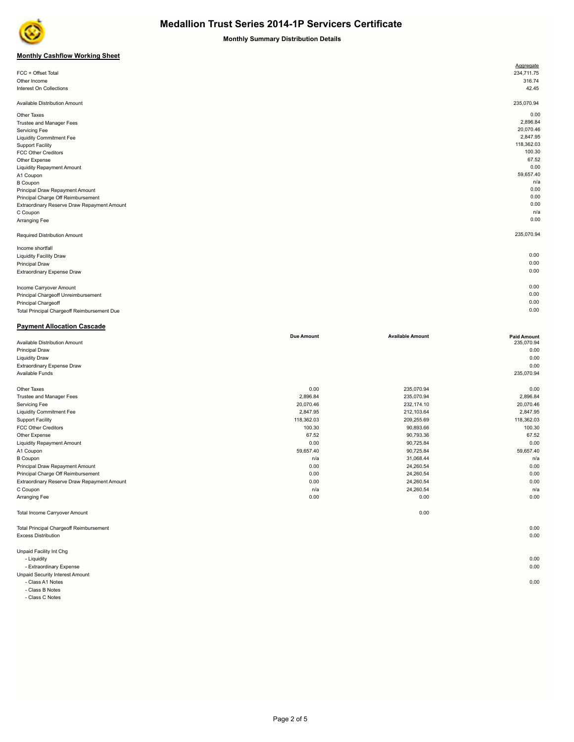

#### **Monthly Summary Distribution Details**

### **Monthly Cashflow Working Sheet**

|                                             | Aggregate  |
|---------------------------------------------|------------|
| FCC + Offset Total                          | 234,711.75 |
| Other Income                                | 316.74     |
| Interest On Collections                     | 42.45      |
|                                             |            |
| Available Distribution Amount               | 235,070.94 |
| Other Taxes                                 | 0.00       |
| Trustee and Manager Fees                    | 2,896.84   |
| Servicing Fee                               | 20,070.46  |
| <b>Liquidity Commitment Fee</b>             | 2,847.95   |
| <b>Support Facility</b>                     | 118,362.03 |
| <b>FCC Other Creditors</b>                  | 100.30     |
| Other Expense                               | 67.52      |
| <b>Liquidity Repayment Amount</b>           | 0.00       |
| A1 Coupon                                   | 59,657.40  |
| <b>B</b> Coupon                             | n/a        |
| Principal Draw Repayment Amount             | 0.00       |
| Principal Charge Off Reimbursement          | 0.00       |
| Extraordinary Reserve Draw Repayment Amount | 0.00       |
| C Coupon                                    | n/a        |
| Arranging Fee                               | 0.00       |
| Required Distribution Amount                | 235,070.94 |
| Income shortfall                            |            |
| <b>Liquidity Facility Draw</b>              | 0.00       |
| <b>Principal Draw</b>                       | 0.00       |
| Extraordinary Expense Draw                  | 0.00       |
|                                             |            |
| Income Carryover Amount                     | 0.00       |
| Principal Chargeoff Unreimbursement         | 0.00       |
| Principal Chargeoff                         | 0.00       |

Total Principal Chargeoff Reimbursement Due 0.00

| <b>Payment Allocation Cascade</b>              |                   |                         |                    |
|------------------------------------------------|-------------------|-------------------------|--------------------|
|                                                | <b>Due Amount</b> | <b>Available Amount</b> | <b>Paid Amount</b> |
| Available Distribution Amount                  |                   |                         | 235,070.94         |
| <b>Principal Draw</b>                          |                   |                         | 0.00               |
| <b>Liquidity Draw</b>                          |                   |                         | 0.00               |
| Extraordinary Expense Draw                     |                   |                         | 0.00               |
| Available Funds                                |                   |                         | 235,070.94         |
| Other Taxes                                    | 0.00              | 235,070.94              | 0.00               |
| Trustee and Manager Fees                       | 2,896.84          | 235,070.94              | 2,896.84           |
| <b>Servicing Fee</b>                           | 20,070.46         | 232,174.10              | 20,070.46          |
| <b>Liquidity Commitment Fee</b>                | 2,847.95          | 212,103.64              | 2,847.95           |
| <b>Support Facility</b>                        | 118,362.03        | 209,255.69              | 118,362.03         |
| <b>FCC Other Creditors</b>                     | 100.30            | 90,893.66               | 100.30             |
| Other Expense                                  | 67.52             | 90,793.36               | 67.52              |
| <b>Liquidity Repayment Amount</b>              | 0.00              | 90,725.84               | 0.00               |
| A1 Coupon                                      | 59,657.40         | 90,725.84               | 59,657.40          |
| <b>B</b> Coupon                                | n/a               | 31,068.44               | n/a                |
| Principal Draw Repayment Amount                | 0.00              | 24,260.54               | 0.00               |
| Principal Charge Off Reimbursement             | 0.00              | 24,260.54               | 0.00               |
| Extraordinary Reserve Draw Repayment Amount    | 0.00              | 24,260.54               | 0.00               |
| C Coupon                                       | n/a               | 24,260.54               | n/a                |
| Arranging Fee                                  | 0.00              | 0.00                    | 0.00               |
| Total Income Carryover Amount                  |                   | 0.00                    |                    |
| <b>Total Principal Chargeoff Reimbursement</b> |                   |                         | 0.00               |
| <b>Excess Distribution</b>                     |                   |                         | 0.00               |
| Unpaid Facility Int Chg                        |                   |                         |                    |
| - Liquidity                                    |                   |                         | 0.00               |
| - Extraordinary Expense                        |                   |                         | 0.00               |
| Unpaid Security Interest Amount                |                   |                         |                    |

 - Class A1 Notes 0.00 - Class B Notes

- Class C Notes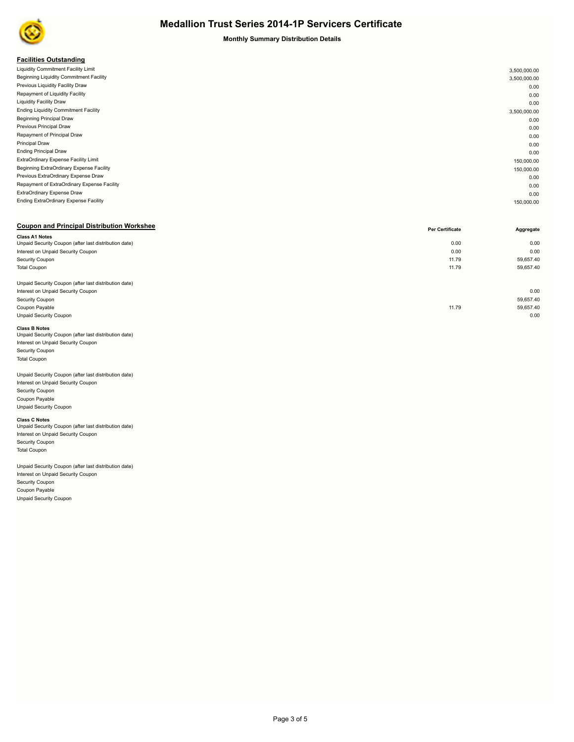

#### **Monthly Summary Distribution Details**

#### **Facilities Outstanding**

| . acmacs outstanding                         |              |
|----------------------------------------------|--------------|
| Liquidity Commitment Facility Limit          | 3,500,000.00 |
| Beginning Liquidity Commitment Facility      | 3,500,000.00 |
| Previous Liquidity Facility Draw             | 0.00         |
| Repayment of Liquidity Facility              | 0.00         |
| <b>Liquidity Facility Draw</b>               | 0.00         |
| <b>Ending Liquidity Commitment Facility</b>  | 3,500,000.00 |
| <b>Beginning Principal Draw</b>              | 0.00         |
| Previous Principal Draw                      | 0.00         |
| Repayment of Principal Draw                  | 0.00         |
| <b>Principal Draw</b>                        | 0.00         |
| <b>Ending Principal Draw</b>                 | 0.00         |
| ExtraOrdinary Expense Facility Limit         | 150,000.00   |
| Beginning ExtraOrdinary Expense Facility     | 150,000.00   |
| Previous ExtraOrdinary Expense Draw          | 0.00         |
| Repayment of ExtraOrdinary Expense Facility  | 0.00         |
| ExtraOrdinary Expense Draw                   | 0.00         |
| <b>Ending ExtraOrdinary Expense Facility</b> | 150,000.00   |
|                                              |              |

#### **Coupon and Principal Distribution Workshee**

|                                                       | Per Certificate | Aggregate |
|-------------------------------------------------------|-----------------|-----------|
| <b>Class A1 Notes</b>                                 |                 |           |
| Unpaid Security Coupon (after last distribution date) | 0.00            | 0.00      |
| Interest on Unpaid Security Coupon                    | 0.00            | 0.00      |
| Security Coupon                                       | 11.79           | 59,657.40 |
| <b>Total Coupon</b>                                   | 11.79           | 59,657.40 |
|                                                       |                 |           |
| Unpaid Security Coupon (after last distribution date) |                 |           |
| Interest on Unpaid Security Coupon                    |                 | 0.00      |
| Security Coupon                                       |                 | 59,657.40 |
| Coupon Payable                                        | 11.79           | 59,657.40 |
| <b>Unpaid Security Coupon</b>                         |                 | 0.00      |
|                                                       |                 |           |

#### **Class B Notes**

| Unpaid Security Coupon (after last distribution date) |  |
|-------------------------------------------------------|--|
| Interest on Unpaid Security Coupon                    |  |
| <b>Security Coupon</b>                                |  |
| <b>Total Coupon</b>                                   |  |
|                                                       |  |

## Unpaid Security Coupon (after last distribution date)

Interest on Unpaid Security Coupon Security Coupon Coupon Payable Unpaid Security Coupon

**Class C Notes**<br>Unpaid Security Coupon (after last distribution date) Interest on Unpaid Security Coupon Security Coupon Total Coupon

Unpaid Security Coupon (after last distribution date) Interest on Unpaid Security Coupon Security Coupon Coupon Payable Unpaid Security Coupon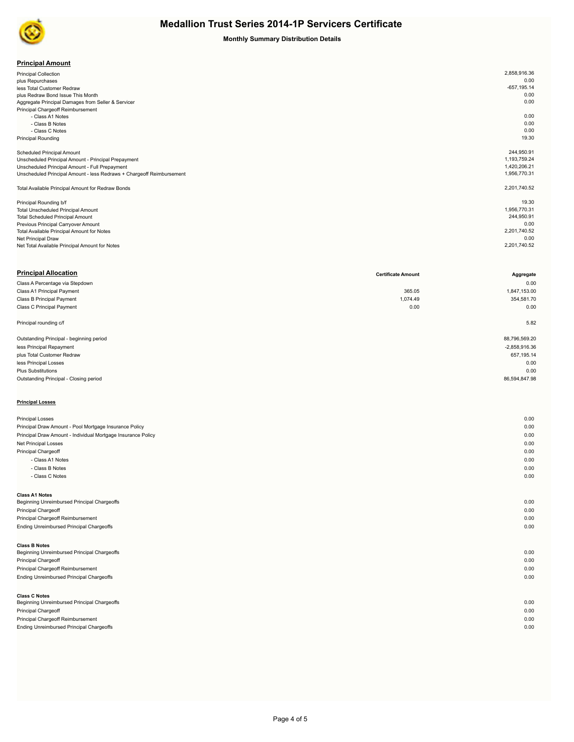

#### **Monthly Summary Distribution Details**

| <b>Principal Amount</b> |
|-------------------------|
|-------------------------|

| .                                                                     |                |
|-----------------------------------------------------------------------|----------------|
| <b>Principal Collection</b>                                           | 2,858,916.36   |
| plus Repurchases                                                      | 0.00           |
| less Total Customer Redraw                                            | $-657, 195.14$ |
| plus Redraw Bond Issue This Month                                     | 0.00           |
| Aggregate Principal Damages from Seller & Servicer                    | 0.00           |
| Principal Chargeoff Reimbursement                                     |                |
| - Class A1 Notes                                                      | 0.00           |
| - Class B Notes                                                       | 0.00           |
| - Class C Notes                                                       | 0.00           |
| <b>Principal Rounding</b>                                             | 19.30          |
|                                                                       |                |
| <b>Scheduled Principal Amount</b>                                     | 244,950.91     |
| Unscheduled Principal Amount - Principal Prepayment                   | 1,193,759.24   |
| Unscheduled Principal Amount - Full Prepayment                        | 1,420,206.21   |
| Unscheduled Principal Amount - less Redraws + Chargeoff Reimbursement | 1,956,770.31   |
|                                                                       |                |
| Total Available Principal Amount for Redraw Bonds                     | 2,201,740.52   |
|                                                                       |                |
| Principal Rounding b/f                                                | 19.30          |
| Total Unscheduled Principal Amount                                    | 1,956,770.31   |
| <b>Total Scheduled Principal Amount</b>                               | 244,950.91     |
| Previous Principal Carryover Amount                                   | 0.00           |
| Total Available Principal Amount for Notes                            | 2,201,740.52   |
| Net Principal Draw                                                    | 0.00           |
| Net Total Available Principal Amount for Notes                        | 2,201,740.52   |
|                                                                       |                |

| <b>Principal Allocation</b>                                  | <b>Certificate Amount</b> | Aggregate       |
|--------------------------------------------------------------|---------------------------|-----------------|
| Class A Percentage via Stepdown                              |                           | 0.00            |
| Class A1 Principal Payment                                   | 365.05                    | 1,847,153.00    |
| Class B Principal Payment                                    | 1,074.49                  | 354,581.70      |
| Class C Principal Payment                                    | 0.00                      | 0.00            |
| Principal rounding c/f                                       |                           | 5.82            |
| Outstanding Principal - beginning period                     |                           | 88,796,569.20   |
| less Principal Repayment                                     |                           | $-2,858,916.36$ |
| plus Total Customer Redraw                                   |                           | 657,195.14      |
| less Principal Losses                                        |                           | 0.00            |
| <b>Plus Substitutions</b>                                    |                           | 0.00            |
| Outstanding Principal - Closing period                       |                           | 86,594,847.98   |
| <b>Principal Losses</b>                                      |                           |                 |
| <b>Principal Losses</b>                                      |                           | 0.00            |
| Principal Draw Amount - Pool Mortgage Insurance Policy       |                           | 0.00            |
| Principal Draw Amount - Individual Mortgage Insurance Policy |                           | 0.00            |
| Net Principal Losses                                         |                           | 0.00            |
| Principal Chargeoff                                          |                           | 0.00            |
| - Class A1 Notes                                             |                           | 0.00            |
| - Class B Notes                                              |                           | 0.00            |
| - Class C Notes                                              |                           | 0.00            |
| <b>Class A1 Notes</b>                                        |                           |                 |
| Beginning Unreimbursed Principal Chargeoffs                  |                           | 0.00            |
| Principal Chargeoff                                          |                           | 0.00            |
| Principal Chargeoff Reimbursement                            |                           | 0.00            |
| <b>Ending Unreimbursed Principal Chargeoffs</b>              |                           | 0.00            |
| <b>Class B Notes</b>                                         |                           |                 |
| Beginning Unreimbursed Principal Chargeoffs                  |                           | 0.00            |

| Principal Chargeoff                      | 0.00 |  |
|------------------------------------------|------|--|
| Principal Chargeoff Reimbursement        | 0.00 |  |
| Ending Unreimbursed Principal Chargeoffs | 0.00 |  |
|                                          |      |  |
|                                          |      |  |

**Class C Notes** Beginning Unreimbursed Principal Chargeoffs 8.000 of the ginning Unreimbursed Principal Chargeoffs **0.00** of the street and the street and the street and the street and the street and the street and the str Principal Chargeoff 0.00 Principal Chargeoff Reimbursement 0.00 Ending Unreimbursed Principal Chargeoffs 0.00